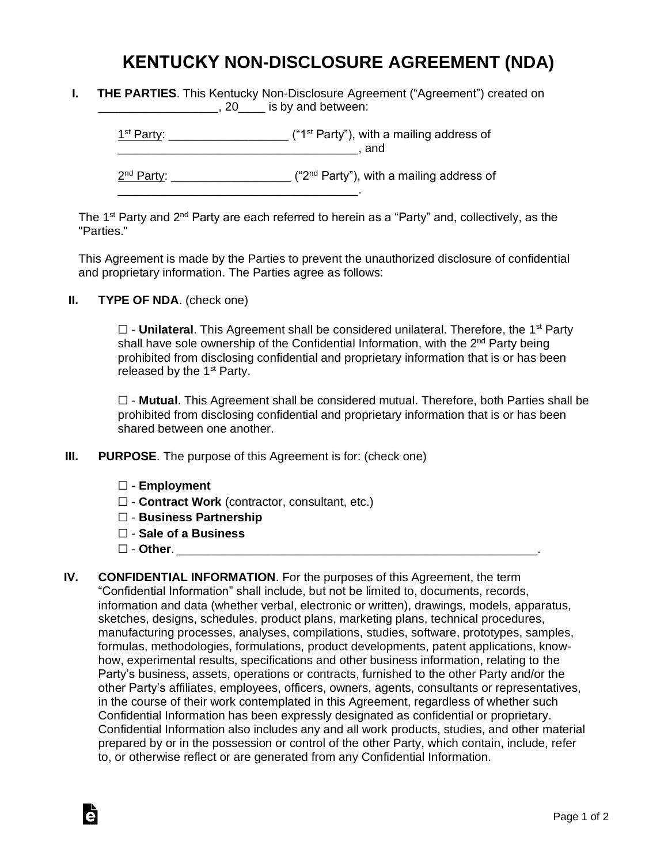## **KENTUCKY NON-DISCLOSURE AGREEMENT (NDA)**

| <b>THE PARTIES.</b> This Kentucky Non-Disclosure Agreement ("Agreement") created on |                             |  |  |
|-------------------------------------------------------------------------------------|-----------------------------|--|--|
|                                                                                     | , 20____ is by and between: |  |  |

 $1<sup>st</sup> Party: _______$  $\blacksquare$  and  $\blacksquare$ 

2<sup>nd</sup> Party: \_\_\_\_\_\_\_\_\_\_\_\_\_\_\_\_\_\_\_\_ ("2<sup>nd</sup> Party"), with a mailing address of

The 1<sup>st</sup> Party and 2<sup>nd</sup> Party are each referred to herein as a "Party" and, collectively, as the "Parties."

This Agreement is made by the Parties to prevent the unauthorized disclosure of confidential and proprietary information. The Parties agree as follows:

**II. TYPE OF NDA**. (check one)

□ - **Unilateral**. This Agreement shall be considered unilateral. Therefore, the 1<sup>st</sup> Party shall have sole ownership of the Confidential Information, with the 2<sup>nd</sup> Party being prohibited from disclosing confidential and proprietary information that is or has been released by the  $1<sup>st</sup>$  Party.

☐ - **Mutual**. This Agreement shall be considered mutual. Therefore, both Parties shall be prohibited from disclosing confidential and proprietary information that is or has been shared between one another.

**III. PURPOSE**. The purpose of this Agreement is for: (check one)

\_\_\_\_\_\_\_\_\_\_\_\_\_\_\_\_\_\_\_\_\_\_\_\_\_\_\_\_\_\_\_\_\_\_\_\_.

- ☐ **Employment**
- ☐ **Contract Work** (contractor, consultant, etc.)
- ☐ **Business Partnership**
- ☐ **Sale of a Business**
- ☐ **Other**. \_\_\_\_\_\_\_\_\_\_\_\_\_\_\_\_\_\_\_\_\_\_\_\_\_\_\_\_\_\_\_\_\_\_\_\_\_\_\_\_\_\_\_\_\_\_\_\_\_\_\_\_\_\_.

Ġ

**IV. CONFIDENTIAL INFORMATION**. For the purposes of this Agreement, the term "Confidential Information" shall include, but not be limited to, documents, records, information and data (whether verbal, electronic or written), drawings, models, apparatus, sketches, designs, schedules, product plans, marketing plans, technical procedures, manufacturing processes, analyses, compilations, studies, software, prototypes, samples, formulas, methodologies, formulations, product developments, patent applications, knowhow, experimental results, specifications and other business information, relating to the Party's business, assets, operations or contracts, furnished to the other Party and/or the other Party's affiliates, employees, officers, owners, agents, consultants or representatives, in the course of their work contemplated in this Agreement, regardless of whether such Confidential Information has been expressly designated as confidential or proprietary. Confidential Information also includes any and all work products, studies, and other material prepared by or in the possession or control of the other Party, which contain, include, refer to, or otherwise reflect or are generated from any Confidential Information.